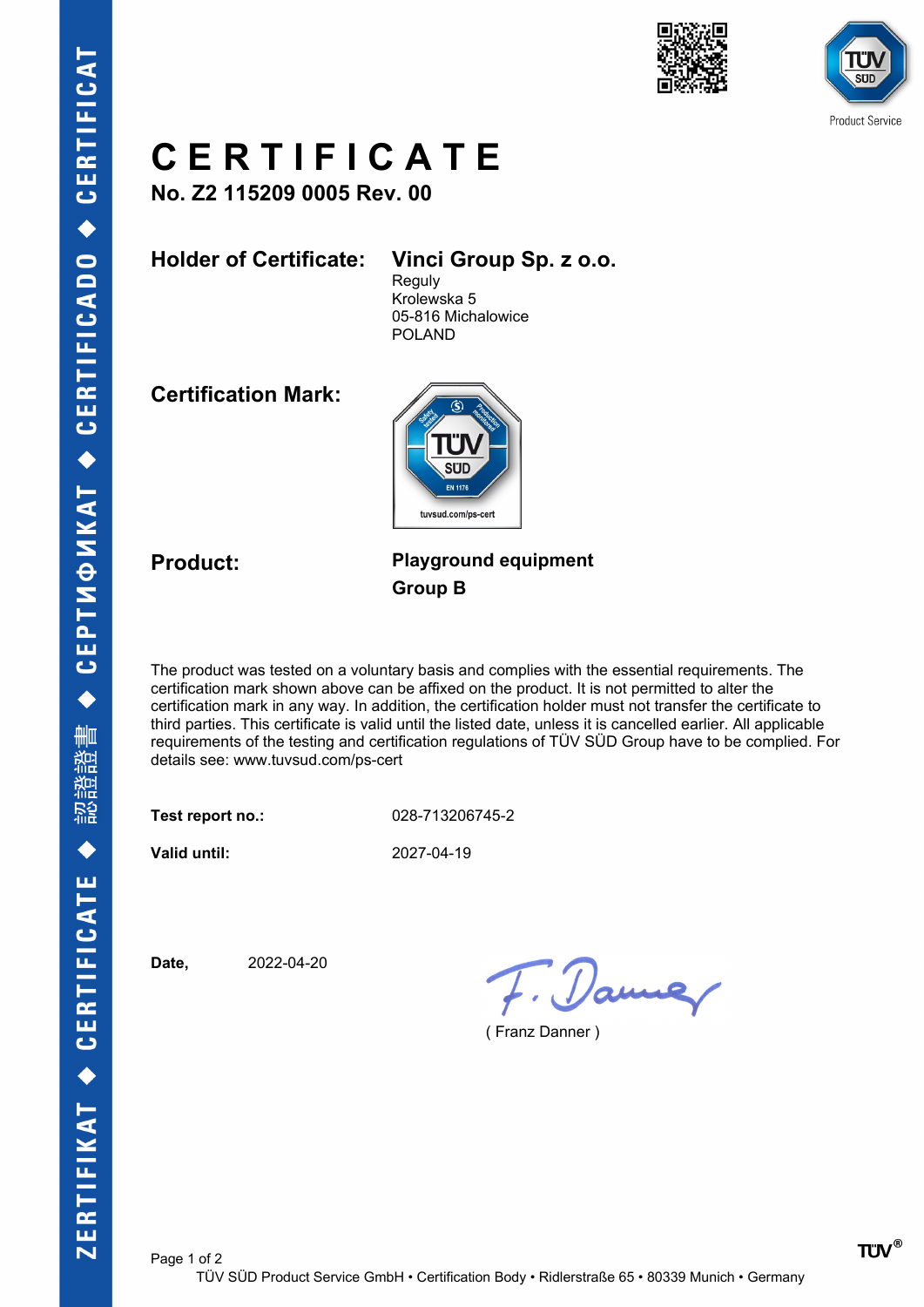



## **C E R T I F I C A T E**

**No. Z2 115209 0005 Rev. 00**

**Holder of Certificate: Vinci Group Sp. z o.o.**

**Reguly** Krolewska 5 05-816 Michalowice POLAND

**Certification Mark:**



## **Product: Playground equipment Group B**

The product was tested on a voluntary basis and complies with the essential requirements. The certification mark shown above can be affixed on the product. It is not permitted to alter the certification mark in any way. In addition, the certification holder must not transfer the certificate to third parties. This certificate is valid until the listed date, unless it is cancelled earlier. All applicable requirements of the testing and certification regulations of TÜV SÜD Group have to be complied. For details see: www.tuvsud.com/ps-cert

**Test report no.:** 028-713206745-2

**Valid until:** 2027-04-19

**Date,** 2022-04-20

7. Danne

( Franz Danner )